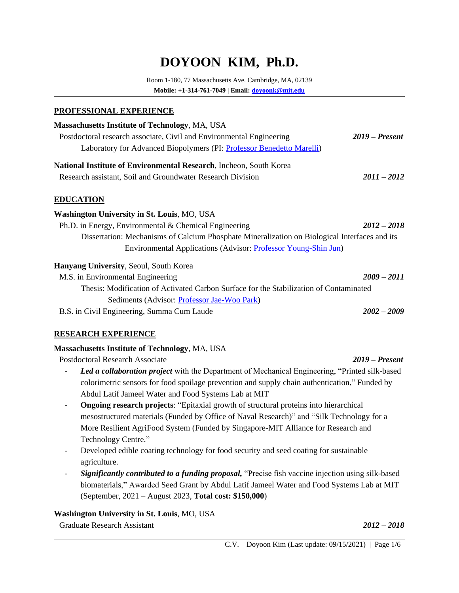# **DOYOON KIM, Ph.D.**

Room 1-180, 77 Massachusetts Ave. Cambridge, MA, 02139 **Mobile: +1-314-761-7049 | Email: [doyoonk@mit.edu](mailto:doyoonk@mit.edu)**

#### **PROFESSIONAL EXPERIENCE**

| <b>Massachusetts Institute of Technology, MA, USA</b><br>Postdoctoral research associate, Civil and Environmental Engineering<br>Laboratory for Advanced Biopolymers (PI: Professor Benedetto Marelli) | $2019$ – Present |
|--------------------------------------------------------------------------------------------------------------------------------------------------------------------------------------------------------|------------------|
| National Institute of Environmental Research, Incheon, South Korea                                                                                                                                     |                  |
| Research assistant, Soil and Groundwater Research Division                                                                                                                                             | $2011 - 2012$    |
| <b>EDUCATION</b>                                                                                                                                                                                       |                  |
| <b>Washington University in St. Louis, MO, USA</b>                                                                                                                                                     |                  |
| Ph.D. in Energy, Environmental $&$ Chemical Engineering                                                                                                                                                | $2012 - 2018$    |
| Dissertation: Mechanisms of Calcium Phosphate Mineralization on Biological Interfaces and its                                                                                                          |                  |
| Environmental Applications (Advisor: <i>Professor Young-Shin Jun)</i>                                                                                                                                  |                  |
| <b>Hanyang University, Seoul, South Korea</b>                                                                                                                                                          |                  |
| M.S. in Environmental Engineering                                                                                                                                                                      | $2009 - 2011$    |
| Thesis: Modification of Activated Carbon Surface for the Stabilization of Contaminated                                                                                                                 |                  |
| Sediments (Advisor: Professor Jae-Woo Park)                                                                                                                                                            |                  |
| B.S. in Civil Engineering, Summa Cum Laude                                                                                                                                                             | $2002 - 2009$    |

#### **RESEARCH EXPERIENCE**

#### **Massachusetts Institute of Technology**, MA, USA

Postdoctoral Research Associate *2019 – Present*

- Led a collaboration project with the Department of Mechanical Engineering, "Printed silk-based" colorimetric sensors for food spoilage prevention and supply chain authentication," Funded by Abdul Latif Jameel Water and Food Systems Lab at MIT
- **Ongoing research projects**: "Epitaxial growth of structural proteins into hierarchical mesostructured materials (Funded by Office of Naval Research)" and "Silk Technology for a More Resilient AgriFood System (Funded by Singapore-MIT Alliance for Research and Technology Centre."
- Developed edible coating technology for food security and seed coating for sustainable agriculture.
- *Significantly contributed to a funding proposal,* "Precise fish vaccine injection using silk-based biomaterials," Awarded Seed Grant by Abdul Latif Jameel Water and Food Systems Lab at MIT (September, 2021 – August 2023, **Total cost: \$150,000**)

#### **Washington University in St. Louis**, MO, USA

Graduate Research Assistant *2012 – 2018*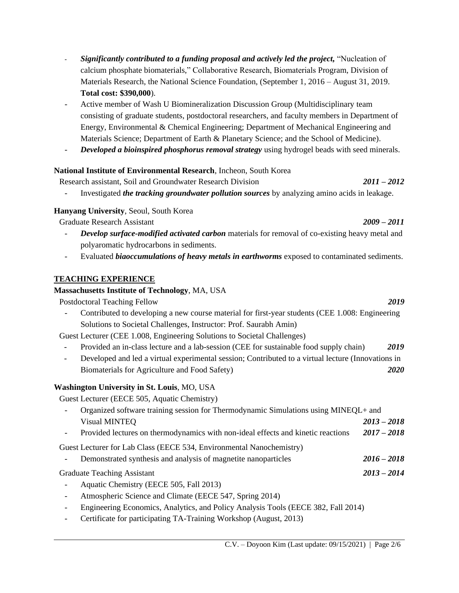C.V. – Doyoon Kim (Last update: 09/15/2021) | Page 2/6

- calcium phosphate biomaterials," Collaborative Research, Biomaterials Program, Division of Materials Research, the National Science Foundation, (September 1, 2016 – August 31, 2019. **Total cost: \$390,000**).
- Active member of Wash U Biomineralization Discussion Group (Multidisciplinary team consisting of graduate students, postdoctoral researchers, and faculty members in Department of Energy, Environmental & Chemical Engineering; Department of Mechanical Engineering and Materials Science; Department of Earth & Planetary Science; and the School of Medicine).

- *Significantly contributed to a funding proposal and actively led the project,* "Nucleation of

#### - *Developed a bioinspired phosphorus removal strategy* using hydrogel beads with seed minerals.

#### **National Institute of Environmental Research**, Incheon, South Korea

Research assistant, Soil and Groundwater Research Division *2011 – 2012*

- Investigated *the tracking groundwater pollution sources* by analyzing amino acids in leakage.

#### **Hanyang University**, Seoul, South Korea

Graduate Research Assistant *2009 – 2011*

- *Develop surface-modified activated carbon* materials for removal of co-existing heavy metal and polyaromatic hydrocarbons in sediments.
- Evaluated *biaoccumulations of heavy metals in earthworms* exposed to contaminated sediments.

## **TEACHING EXPERIENCE**

#### **Massachusetts Institute of Technology**, MA, USA

Postdoctoral Teaching Fellow *2019*

- Contributed to developing a new course material for first-year students (CEE 1.008: Engineering Solutions to Societal Challenges, Instructor: Prof. Saurabh Amin)

Guest Lecturer (CEE 1.008, Engineering Solutions to Societal Challenges)

- Provided an in-class lecture and a lab-session (CEE for sustainable food supply chain) *2019*
- Developed and led a virtual experimental session; Contributed to a virtual lecture (Innovations in Biomaterials for Agriculture and Food Safety) *2020*

## **Washington University in St. Louis**, MO, USA

Guest Lecturer (EECE 505, Aquatic Chemistry)

| Organized software training session for Thermodynamic Simulations using MINEQL+ and |               |
|-------------------------------------------------------------------------------------|---------------|
| Visual MINTEQ                                                                       | $2013 - 2018$ |
| Provided lectures on thermodynamics with non-ideal effects and kinetic reactions    | $2017 - 2018$ |

Guest Lecturer for Lab Class (EECE 534, Environmental Nanochemistry)

- Demonstrated synthesis and analysis of magnetite nanoparticles *2016 – 2018*

Graduate Teaching Assistant *2013 – 2014*

- Aquatic Chemistry (EECE 505, Fall 2013)
- Atmospheric Science and Climate (EECE 547, Spring 2014)
- Engineering Economics, Analytics, and Policy Analysis Tools (EECE 382, Fall 2014)
- Certificate for participating TA-Training Workshop (August, 2013)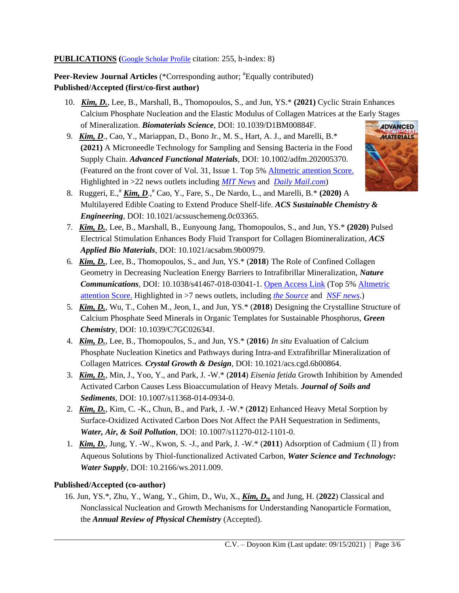#### **PUBLICATIONS (**[Google Scholar Profile](https://scholar.google.com/citations?user=q-dDIGoAAAAJ&hl=en) citation: 255, h-index: 8)

Peer-Review Journal Articles (\*Corresponding author; <sup>#</sup>Equally contributed) **Published/Accepted (first/co-first author)**

- 10. *Kim, D.*, Lee, B., Marshall, B., Thomopoulos, S., and Jun, YS.\* **(2021)** Cyclic Strain Enhances Calcium Phosphate Nucleation and the Elastic Modulus of Collagen Matrices at the Early Stages of Mineralization. *Biomaterials Science*, DOI: 10.1039/D1BM00884F.
- 9. *Kim, D*., Cao, Y., Mariappan, D., Bono Jr., M. S., Hart, A. J., and Marelli, B.\* **(2021)** A Microneedle Technology for Sampling and Sensing Bacteria in the Food Supply Chain. *Advanced Functional Materials*, DOI: 10.1002/adfm.202005370. (Featured on the front cover of Vol. 31, Issue 1. Top 5% [Altmetric attention Score.](https://wiley.altmetric.com/details/89711797) Highlighted in >22 news outlets including *[MIT News](https://news.mit.edu/2020/velcro-food-sensor-spoilage-0909)* and *[Daily Mail.com](https://www.dailymail.co.uk/sciencetech/article-8715217/Velcro-like-needle-developed-MIT-determines-food-spoiled-contaminated-e-Coli.html)*)



- 8. Ruggeri, E.,# *Kim, D*., # Cao, Y., Fare, S., De Nardo, L., and Marelli, B.\* **(2020)** A Multilayered Edible Coating to Extend Produce Shelf-life. *ACS Sustainable Chemistry & Engineering*, DOI: 10.1021/acssuschemeng.0c03365.
- 7. *Kim, D.*, Lee, B., Marshall, B., Eunyoung Jang, Thomopoulos, S., and Jun, YS.\* **(2020)** Pulsed Electrical Stimulation Enhances Body Fluid Transport for Collagen Biomineralization, *ACS Applied Bio Materials*, DOI: 10.1021/acsabm.9b00979.
- 6.*Kim, D.*, Lee, B., Thomopoulos, S., and Jun, YS.\* (**2018**) The Role of Confined Collagen Geometry in Decreasing Nucleation Energy Barriers to Intrafibrillar Mineralization, *Nature Communications*, DOI: 10.1038/s41467-018-03041-1. [Open Access Link](https://www.nature.com/articles/s41467-018-03041-1) (Top 5% [Altmetric](https://www.altmetric.com/details/33984617)  [attention Score.](https://www.altmetric.com/details/33984617) Highlighted in >7 news outlets, including *[the Source](https://source.wustl.edu/2018/04/new-cellular-insights-in-bone-development/)* and *[NSF news](https://www.nsf.gov/news/news_summ.jsp?cntn_id=245118&org=NSF&from=news)*.)
- 5. *Kim, D.*, Wu, T., Cohen M., Jeon, I., and Jun, YS.\* (**2018**) Designing the Crystalline Structure of Calcium Phosphate Seed Minerals in Organic Templates for Sustainable Phosphorus, *Green Chemistry*, DOI: 10.1039/C7GC02634J.
- 4. *Kim, D.*, Lee, B., Thomopoulos, S., and Jun, YS.\* (**2016**) *In situ* Evaluation of Calcium Phosphate Nucleation Kinetics and Pathways during Intra-and Extrafibrillar Mineralization of Collagen Matrices. *Crystal Growth & Design*, DOI: 10.1021/acs.cgd.6b00864.
- 3. *Kim, D.*, Min, J., Yoo, Y., and Park, J. -W.\* (**2014**) *Eisenia fetida* Growth Inhibition by Amended Activated Carbon Causes Less Bioaccumulation of Heavy Metals. *Journal of Soils and Sediments*, DOI: 10.1007/s11368-014-0934-0.
- 2. *Kim, D.*, Kim, C. -K., Chun, B., and Park, J. -W.\* (**2012**) Enhanced Heavy Metal Sorption by Surface-Oxidized Activated Carbon Does Not Affect the PAH Sequestration in Sediments, *Water, Air, & Soil Pollution*, DOI: 10.1007/s11270-012-1101-0.
- 1. *Kim, D.*, Jung, Y. -W., Kwon, S. -J., and Park, J. -W.\* (**2011**) Adsorption of Cadmium (Ⅱ) from Aqueous Solutions by Thiol-functionalized Activated Carbon, *Water Science and Technology: Water Supply*, DOI: 10.2166/ws.2011.009.

## **Published/Accepted (co-author)**

16. Jun, YS.\*, Zhu, Y., Wang, Y., Ghim, D., Wu, X., *Kim, D.,* and Jung, H. (**2022**) Classical and Nonclassical Nucleation and Growth Mechanisms for Understanding Nanoparticle Formation, the *Annual Review of Physical Chemistry* (Accepted).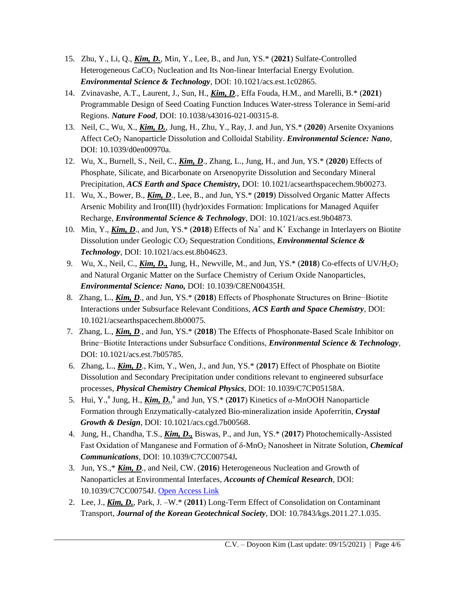- 15. Zhu, Y., Li, Q., *Kim, D.*, Min, Y., Lee, B., and Jun, YS.\* (**2021**) Sulfate-Controlled Heterogeneous CaCO<sub>3</sub> Nucleation and Its Non-linear Interfacial Energy Evolution. *Environmental Science & Technology*, DOI: 10.1021/acs.est.1c02865.
- 14. Zvinavashe, A.T., Laurent, J., Sun, H., *Kim, D*., Effa Fouda, H.M., and Marelli, B.\* (**2021**) Programmable Design of Seed Coating Function Induces Water-stress Tolerance in Semi-arid Regions. *Nature Food*, DOI: 10.1038/s43016-021-00315-8.
- 13. Neil, C., Wu, X., *Kim, D.*, Jung, H., Zhu, Y., Ray, J. and Jun, YS.\* (**2020**) Arsenite Oxyanions Affect CeO<sup>2</sup> Nanoparticle Dissolution and Colloidal Stability. *Environmental Science: Nano*, DOI: 10.1039/d0en00970a.
- 12. Wu, X., Burnell, S., Neil, C., *Kim, D*., Zhang, L., Jung, H., and Jun, YS.\* (**2020**) Effects of Phosphate, Silicate, and Bicarbonate on Arsenopyrite Dissolution and Secondary Mineral Precipitation, *ACS Earth and Space Chemistry,* DOI: 10.1021/acsearthspacechem.9b00273.
- 11. Wu, X., Bower, B., *Kim, D*., Lee, B., and Jun, YS.\* (**2019**) Dissolved Organic Matter Affects Arsenic Mobility and Iron(III) (hydr)oxides Formation: Implications for Managed Aquifer Recharge, *Environmental Science & Technology*, DOI: 10.1021/acs.est.9b04873.
- 10. Min, Y., *Kim, D*., and Jun, YS.\* (**2018**) Effects of Na<sup>+</sup> and K<sup>+</sup> Exchange in Interlayers on Biotite Dissolution under Geologic CO<sup>2</sup> Sequestration Conditions, *Environmental Science & Technology*, DOI: 10.1021/acs.est.8b04623.
- 9. Wu, X., Neil, C., *Kim, D.,* Jung, H., Newville, M., and Jun, YS.\* (**2018**) Co-effects of UV/H2O<sup>2</sup> and Natural Organic Matter on the Surface Chemistry of Cerium Oxide Nanoparticles, *Environmental Science: Nano,* DOI: 10.1039/C8EN00435H.
- 8. Zhang, L., *Kim, D*., and Jun, YS.\* (**2018**) Effects of Phosphonate Structures on Brine−Biotite Interactions under Subsurface Relevant Conditions, *ACS Earth and Space Chemistry*, DOI: 10.1021/acsearthspacechem.8b00075.
- 7. Zhang, L., *Kim, D*., and Jun, YS.\* (**2018**) The Effects of Phosphonate-Based Scale Inhibitor on Brine−Biotite Interactions under Subsurface Conditions, *Environmental Science & Technology*, DOI: 10.1021/acs.est.7b05785.
- 6. Zhang, L., *Kim, D*., Kim, Y., Wen, J., and Jun, YS.\* (**2017**) Effect of Phosphate on Biotite Dissolution and Secondary Precipitation under conditions relevant to engineered subsurface processes, *Physical Chemistry Chemical Physics*, DOI: 10.1039/C7CP05158A.
- 5. Hui, Y.,# Jung, H., *Kim, D.*, # and Jun, YS.\* (**2017**) Kinetics of *α*-MnOOH Nanoparticle Formation through Enzymatically-catalyzed Bio-mineralization inside Apoferritin, *Crystal Growth & Design*, DOI: 10.1021/acs.cgd.7b00568.
- 4. Jung, H., Chandha, T.S., *Kim, D.,* Biswas, P., and Jun, YS.\* (**2017**) Photochemically-Assisted Fast Oxidation of Manganese and Formation of δ-MnO<sup>2</sup> Nanosheet in Nitrate Solution, *Chemical Communications*, DOI: 10.1039/C7CC00754J*.*
- 3. Jun, YS.,\* *Kim, D*., and Neil, CW. (**2016**) Heterogeneous Nucleation and Growth of Nanoparticles at Environmental Interfaces, *Accounts of Chemical Research*, DOI: 10.1039/C7CC00754J. [Open Access Link](https://pubs.acs.org/doi/pdf/10.1021/acs.accounts.6b00208)
- 2. Lee, J., *Kim, D.*, Park, J. –W.\* (**2011**) Long-Term Effect of Consolidation on Contaminant Transport, *Journal of the Korean Geotechnical Society*, DOI: 10.7843/kgs.2011.27.1.035.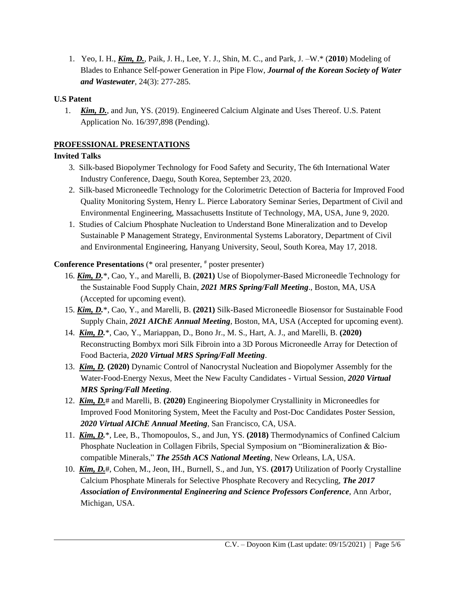1. Yeo, I. H., *Kim, D.*, Paik, J. H., Lee, Y. J., Shin, M. C., and Park, J. –W.\* (**2010**) Modeling of Blades to Enhance Self-power Generation in Pipe Flow, *Journal of the Korean Society of Water and Wastewater*, 24(3): 277-285.

## **U.S Patent**

1. *Kim, D.*, and Jun, YS. (2019). Engineered Calcium Alginate and Uses Thereof. U.S. Patent Application No. 16/397,898 (Pending).

# **PROFESSIONAL PRESENTATIONS**

# **Invited Talks**

- 3. Silk-based Biopolymer Technology for Food Safety and Security, The 6th International Water Industry Conference, Daegu, South Korea, September 23, 2020.
- 2. Silk-based Microneedle Technology for the Colorimetric Detection of Bacteria for Improved Food Quality Monitoring System, Henry L. Pierce Laboratory Seminar Series, Department of Civil and Environmental Engineering, Massachusetts Institute of Technology, MA, USA, June 9, 2020.
- 1. Studies of Calcium Phosphate Nucleation to Understand Bone Mineralization and to Develop Sustainable P Management Strategy, Environmental Systems Laboratory, Department of Civil and Environmental Engineering, Hanyang University, Seoul, South Korea, May 17, 2018.

# **Conference Presentations** (\* oral presenter, # poster presenter)

- 16. *Kim, D.*\*, Cao, Y., and Marelli, B. **(2021)** Use of Biopolymer-Based Microneedle Technology for the Sustainable Food Supply Chain, *2021 MRS Spring/Fall Meeting*., Boston, MA, USA (Accepted for upcoming event).
- 15. *Kim, D.*\*, Cao, Y., and Marelli, B. **(2021)** Silk-Based Microneedle Biosensor for Sustainable Food Supply Chain, *2021 AIChE Annual Meeting*, Boston, MA, USA (Accepted for upcoming event).
- 14. *Kim, D.*\*, Cao, Y., Mariappan, D., Bono Jr., M. S., Hart, A. J., and Marelli, B. **(2020)** Reconstructing Bombyx mori Silk Fibroin into a 3D Porous Microneedle Array for Detection of Food Bacteria, *2020 Virtual MRS Spring/Fall Meeting*.
- 13. *Kim, D.* **(2020)** Dynamic Control of Nanocrystal Nucleation and Biopolymer Assembly for the Water-Food-Energy Nexus, Meet the New Faculty Candidates - Virtual Session, *2020 Virtual MRS Spring/Fall Meeting*.
- 12. *Kim, D.*# and Marelli, B. **(2020)** Engineering Biopolymer Crystallinity in Microneedles for Improved Food Monitoring System, Meet the Faculty and Post-Doc Candidates Poster Session, *2020 Virtual AIChE Annual Meeting*, San Francisco, CA, USA.
- 11. *Kim, D.*\*, Lee, B., Thomopoulos, S., and Jun, YS. **(2018)** Thermodynamics of Confined Calcium Phosphate Nucleation in Collagen Fibrils, Special Symposium on "Biomineralization & Biocompatible Minerals," *The 255th ACS National Meeting*, New Orleans, LA, USA.
- 10. *Kim, D.*#, Cohen, M., Jeon, IH., Burnell, S., and Jun, YS. **(2017)** Utilization of Poorly Crystalline Calcium Phosphate Minerals for Selective Phosphate Recovery and Recycling, *The 2017 Association of Environmental Engineering and Science Professors Conference*, Ann Arbor, Michigan, USA.